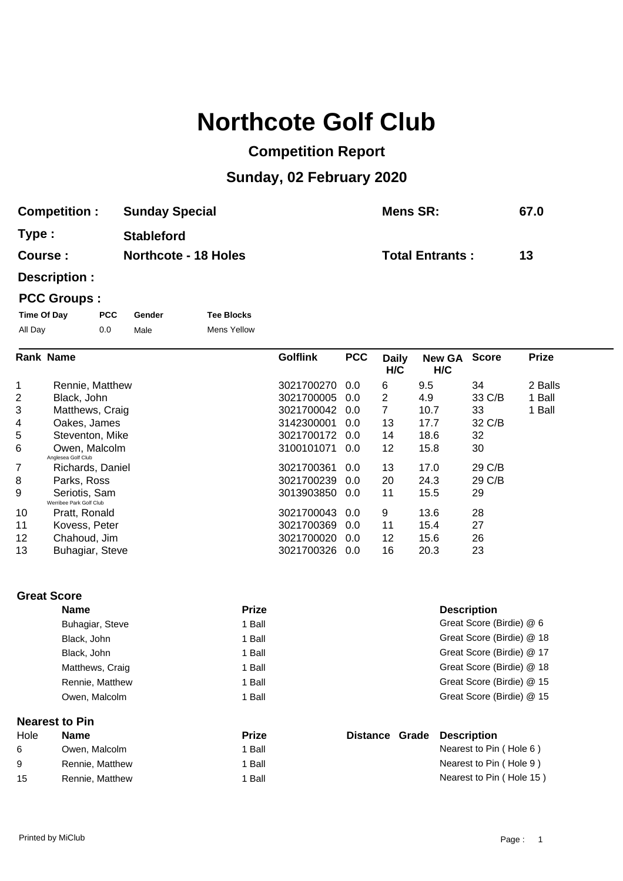## **Northcote Golf Club**

## **Competition Report**

## **Sunday, 02 February 2020**

| <b>Competition:</b> | <b>Sunday Special</b>       | Mens SR:               | 67.0 |
|---------------------|-----------------------------|------------------------|------|
| Type :              | <b>Stableford</b>           |                        |      |
| <b>Course :</b>     | <b>Northcote - 18 Holes</b> | <b>Total Entrants:</b> | 13   |

**Description :**

## **PCC Groups :**

| Time Of Day | <b>PCC</b> | Gender | <b>Tee Blocks</b>  |
|-------------|------------|--------|--------------------|
| All Day     | 0.0        | Male   | <b>Mens Yellow</b> |

|                | <b>Rank Name</b>                         | <b>Golflink</b> | <b>PCC</b> | <b>Daily</b><br>H/C | <b>New GA</b><br>H/C | <b>Score</b> | <b>Prize</b> |
|----------------|------------------------------------------|-----------------|------------|---------------------|----------------------|--------------|--------------|
| 1              | Rennie, Matthew                          | 3021700270      | 0.0        | 6                   | 9.5                  | 34           | 2 Balls      |
| $\overline{2}$ | Black, John                              | 3021700005      | 0.0        | $\overline{2}$      | 4.9                  | 33 C/B       | 1 Ball       |
| 3              | Matthews, Craig                          | 3021700042 0.0  |            | 7                   | 10.7                 | 33           | 1 Ball       |
| 4              | Oakes, James                             | 3142300001      | 0.0        | 13                  | 17.7                 | 32 C/B       |              |
| 5              | Steventon, Mike                          | 3021700172      | 0.0        | 14                  | 18.6                 | 32           |              |
| 6              | Owen, Malcolm<br>Anglesea Golf Club      | 3100101071      | 0.0        | 12                  | 15.8                 | 30           |              |
| 7              | Richards, Daniel                         | 3021700361      | 0.0        | 13                  | 17.0                 | 29 C/B       |              |
| 8              | Parks, Ross                              | 3021700239      | 0.0        | 20                  | 24.3                 | 29 C/B       |              |
| 9              | Seriotis, Sam<br>Werribee Park Golf Club | 3013903850 0.0  |            | 11                  | 15.5                 | 29           |              |
| 10             | Pratt, Ronald                            | 3021700043 0.0  |            | 9                   | 13.6                 | 28           |              |
| 11             | Kovess, Peter                            | 3021700369      | 0.0        | 11                  | 15.4                 | 27           |              |
| 12             | Chahoud, Jim                             | 3021700020      | 0.0        | 12                  | 15.6                 | 26           |              |
| 13             | Buhagiar, Steve                          | 3021700326 0.0  |            | 16                  | 20.3                 | 23           |              |

**Great Score**

| <b>Name</b>           | <b>Prize</b> | <b>Description</b>        |
|-----------------------|--------------|---------------------------|
| Buhagiar, Steve       | 1 Ball       | Great Score (Birdie) @ 6  |
| Black, John           | 1 Ball       | Great Score (Birdie) @ 18 |
| Black, John           | 1 Ball       | Great Score (Birdie) @ 17 |
| Matthews, Craig       | 1 Ball       | Great Score (Birdie) @ 18 |
| Rennie, Matthew       | 1 Ball       | Great Score (Birdie) @ 15 |
| Owen, Malcolm         | 1 Ball       | Great Score (Birdie) @ 15 |
| <b>Nearest to Pin</b> |              |                           |

| Hole | <b>Name</b>     | <b>Prize</b> |  | Distance Grade Description |
|------|-----------------|--------------|--|----------------------------|
| -6   | Owen, Malcolm   | ' Ball       |  | Nearest to Pin (Hole 6)    |
| -9   | Rennie, Matthew | 1 Ball       |  | Nearest to Pin (Hole 9)    |
| 15   | Rennie, Matthew | l Ball       |  | Nearest to Pin (Hole 15)   |